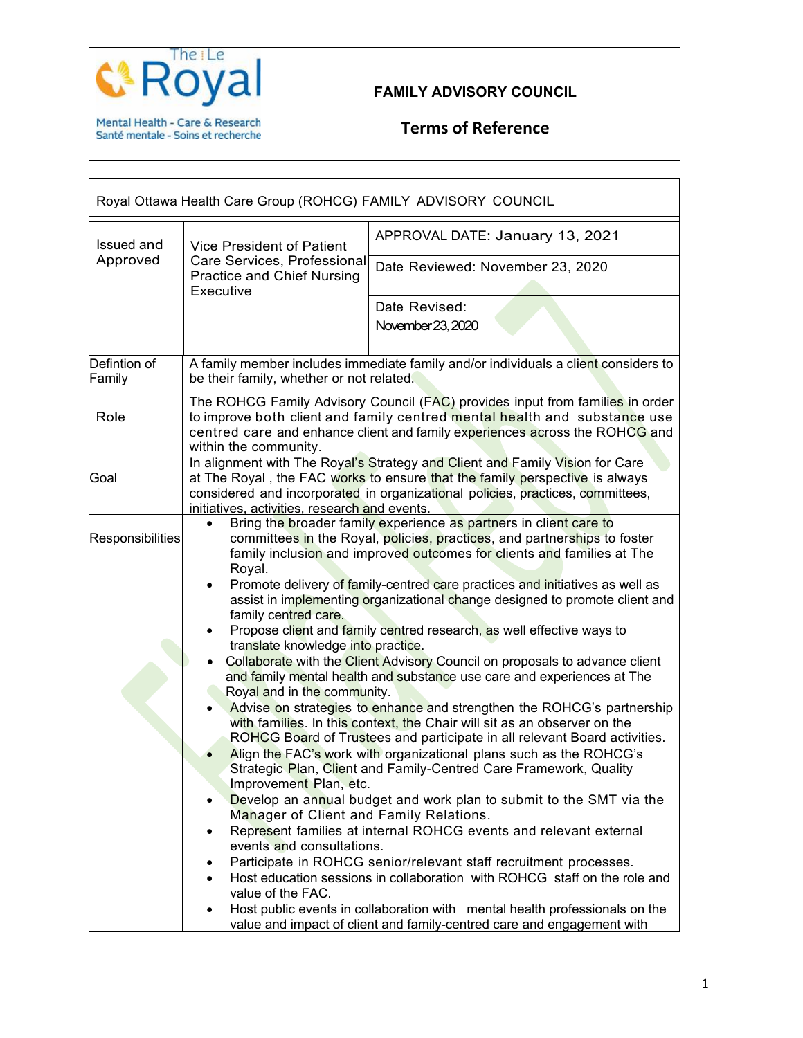

#### **FAMILY ADVISORY COUNCIL**

## **Terms of Reference**

| Royal Ottawa Health Care Group (ROHCG) FAMILY ADVISORY COUNCIL |                                                                                                                                                                                                                                                                                                                                                                                                                                                                                                                                                                                                                                                                                                                                                                                                                                                                                                                                                                                                                                                                                                                                                                                                                                                                                                                                                                                                                                                                                                                                                                                                                                                                                                                |                                                                                                                                                             |
|----------------------------------------------------------------|----------------------------------------------------------------------------------------------------------------------------------------------------------------------------------------------------------------------------------------------------------------------------------------------------------------------------------------------------------------------------------------------------------------------------------------------------------------------------------------------------------------------------------------------------------------------------------------------------------------------------------------------------------------------------------------------------------------------------------------------------------------------------------------------------------------------------------------------------------------------------------------------------------------------------------------------------------------------------------------------------------------------------------------------------------------------------------------------------------------------------------------------------------------------------------------------------------------------------------------------------------------------------------------------------------------------------------------------------------------------------------------------------------------------------------------------------------------------------------------------------------------------------------------------------------------------------------------------------------------------------------------------------------------------------------------------------------------|-------------------------------------------------------------------------------------------------------------------------------------------------------------|
| Issued and<br>Approved                                         | Vice President of Patient<br>Care Services, Professional<br><b>Practice and Chief Nursing</b><br>Executive                                                                                                                                                                                                                                                                                                                                                                                                                                                                                                                                                                                                                                                                                                                                                                                                                                                                                                                                                                                                                                                                                                                                                                                                                                                                                                                                                                                                                                                                                                                                                                                                     | APPROVAL DATE: January 13, 2021                                                                                                                             |
|                                                                |                                                                                                                                                                                                                                                                                                                                                                                                                                                                                                                                                                                                                                                                                                                                                                                                                                                                                                                                                                                                                                                                                                                                                                                                                                                                                                                                                                                                                                                                                                                                                                                                                                                                                                                | Date Reviewed: November 23, 2020                                                                                                                            |
|                                                                |                                                                                                                                                                                                                                                                                                                                                                                                                                                                                                                                                                                                                                                                                                                                                                                                                                                                                                                                                                                                                                                                                                                                                                                                                                                                                                                                                                                                                                                                                                                                                                                                                                                                                                                | Date Revised:<br>November 23, 2020                                                                                                                          |
| Defintion of<br>Family                                         | be their family, whether or not related.                                                                                                                                                                                                                                                                                                                                                                                                                                                                                                                                                                                                                                                                                                                                                                                                                                                                                                                                                                                                                                                                                                                                                                                                                                                                                                                                                                                                                                                                                                                                                                                                                                                                       | A family member includes immediate family and/or individuals a client considers to                                                                          |
| Role                                                           | The ROHCG Family Advisory Council (FAC) provides input from families in order<br>to improve both client and family centred mental health and substance use<br>centred care and enhance client and family experiences across the ROHCG and<br>within the community.                                                                                                                                                                                                                                                                                                                                                                                                                                                                                                                                                                                                                                                                                                                                                                                                                                                                                                                                                                                                                                                                                                                                                                                                                                                                                                                                                                                                                                             |                                                                                                                                                             |
| Goal                                                           |                                                                                                                                                                                                                                                                                                                                                                                                                                                                                                                                                                                                                                                                                                                                                                                                                                                                                                                                                                                                                                                                                                                                                                                                                                                                                                                                                                                                                                                                                                                                                                                                                                                                                                                | In alignment with The Royal's Strategy and Client and Family Vision for Care<br>at The Royal, the FAC works to ensure that the family perspective is always |
| Responsibilities                                               | considered and incorporated in organizational policies, practices, committees,<br>initiatives, activities, research and events.<br>Bring the broader family experience as partners in client care to<br>$\bullet$<br>committees in the Royal, policies, practices, and partnerships to foster<br>family inclusion and improved outcomes for clients and families at The<br>Royal.<br>Promote delivery of family-centred care practices and initiatives as well as<br>٠<br>assist in implementing organizational change designed to promote client and<br>family centred care.<br>Propose client and family centred research, as well effective ways to<br>translate knowledge into practice.<br>Collaborate with the Client Advisory Council on proposals to advance client<br>and family mental health and substance use care and experiences at The<br>Royal and in the community.<br>Advise on strategies to enhance and strengthen the ROHCG's partnership<br>with families. In this context, the Chair will sit as an observer on the<br>ROHCG Board of Trustees and participate in all relevant Board activities.<br>Align the FAC's work with organizational plans such as the ROHCG's<br>Strategic Plan, Client and Family-Centred Care Framework, Quality<br>Improvement Plan, etc.<br>Develop an annual budget and work plan to submit to the SMT via the<br>$\bullet$<br>Manager of Client and Family Relations.<br>Represent families at internal ROHCG events and relevant external<br>٠<br>events and consultations.<br>Participate in ROHCG senior/relevant staff recruitment processes.<br>٠<br>Host education sessions in collaboration with ROHCG staff on the role and<br>value of the FAC. |                                                                                                                                                             |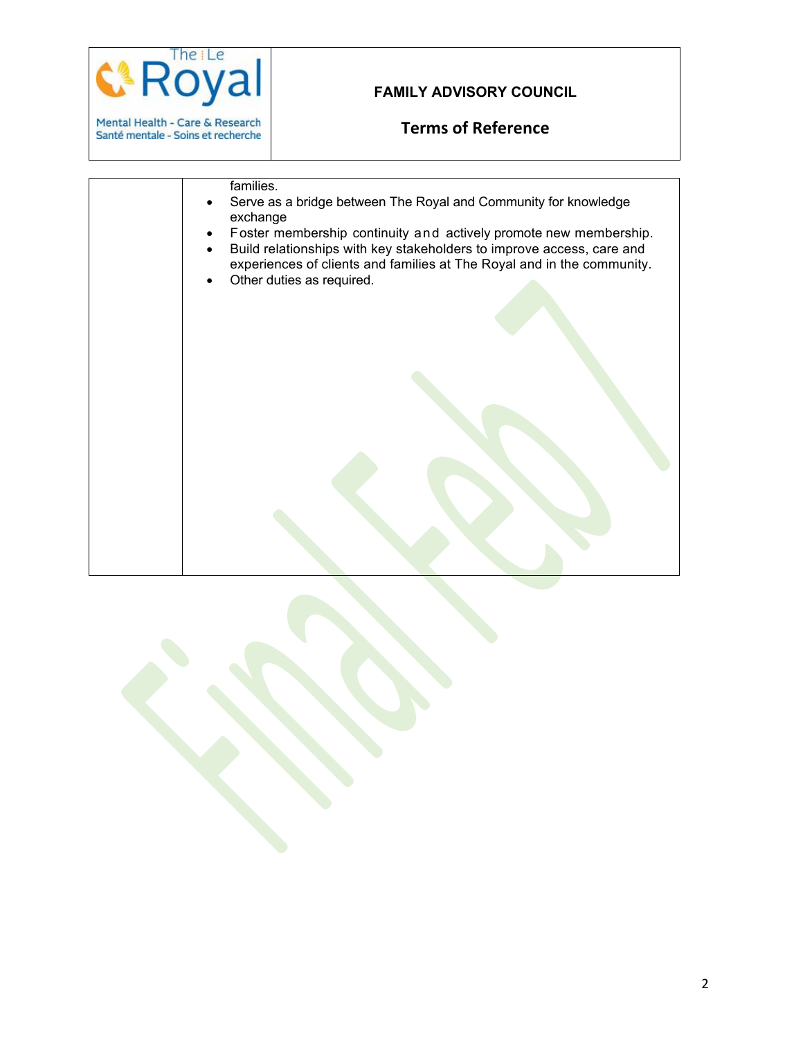

### **FAMILY ADVISORY COUNCIL**

## **Terms of Reference**

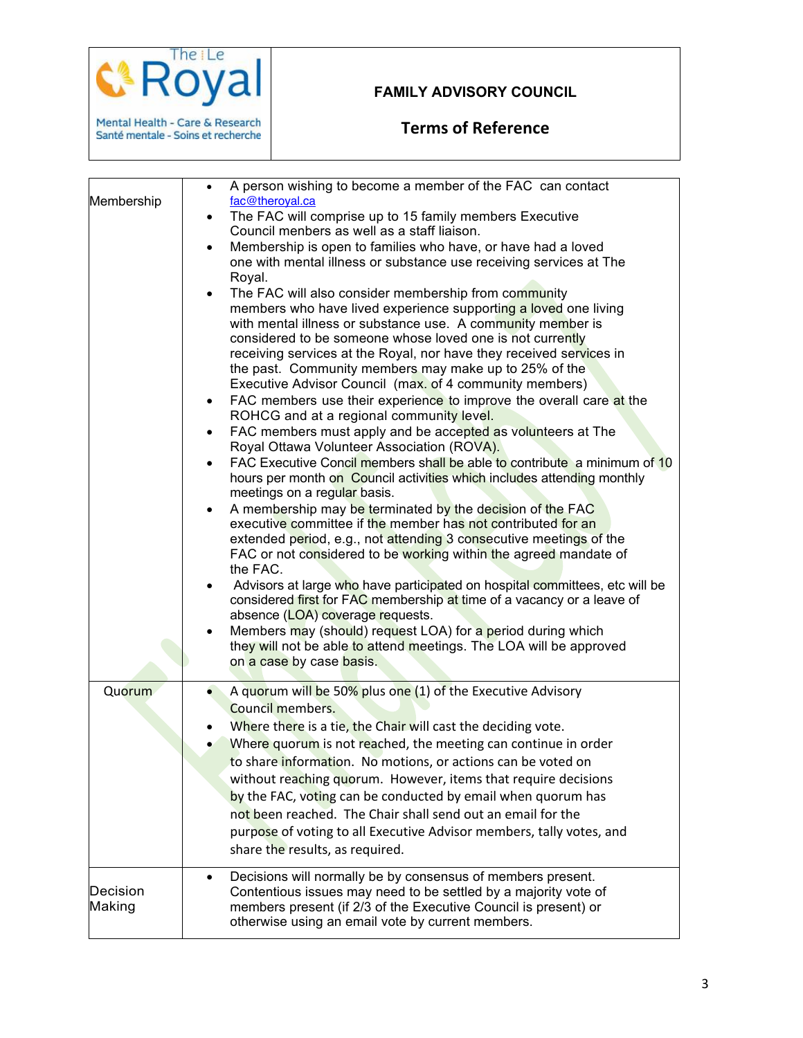

# **Terms of Reference**

The iLe

Mental Health - Care & Research<br>Santé mentale - Soins et recherche

koya

| Membership         | A person wishing to become a member of the FAC can contact<br>$\bullet$<br>fac@theroyal.ca<br>The FAC will comprise up to 15 family members Executive<br>$\bullet$<br>Council menbers as well as a staff liaison.<br>Membership is open to families who have, or have had a loved<br>$\bullet$<br>one with mental illness or substance use receiving services at The<br>Royal.<br>The FAC will also consider membership from community<br>$\bullet$<br>members who have lived experience supporting a loved one living<br>with mental illness or substance use. A community member is<br>considered to be someone whose loved one is not currently<br>receiving services at the Royal, nor have they received services in<br>the past. Community members may make up to 25% of the<br>Executive Advisor Council (max. of 4 community members)<br>FAC members use their experience to improve the overall care at the<br>$\bullet$<br>ROHCG and at a regional community level.<br>FAC members must apply and be accepted as volunteers at The<br>$\bullet$<br>Royal Ottawa Volunteer Association (ROVA).<br>FAC Executive Concil members shall be able to contribute a minimum of 10<br>$\bullet$<br>hours per month on Council activities which includes attending monthly<br>meetings on a regular basis.<br>A membership may be terminated by the decision of the FAC<br>$\bullet$<br>executive committee if the member has not contributed for an<br>extended period, e.g., not attending 3 consecutive meetings of the<br>FAC or not considered to be working within the agreed mandate of<br>the FAC.<br>Advisors at large who have participated on hospital committees, etc will be<br>considered first for FAC membership at time of a vacancy or a leave of<br>absence (LOA) coverage requests.<br>Members may (should) request LOA) for a period during which<br>they will not be able to attend meetings. The LOA will be approved<br>on a case by case basis. |
|--------------------|--------------------------------------------------------------------------------------------------------------------------------------------------------------------------------------------------------------------------------------------------------------------------------------------------------------------------------------------------------------------------------------------------------------------------------------------------------------------------------------------------------------------------------------------------------------------------------------------------------------------------------------------------------------------------------------------------------------------------------------------------------------------------------------------------------------------------------------------------------------------------------------------------------------------------------------------------------------------------------------------------------------------------------------------------------------------------------------------------------------------------------------------------------------------------------------------------------------------------------------------------------------------------------------------------------------------------------------------------------------------------------------------------------------------------------------------------------------------------------------------------------------------------------------------------------------------------------------------------------------------------------------------------------------------------------------------------------------------------------------------------------------------------------------------------------------------------------------------------------------------------------------------------------------------------------------------------------------------------|
| Quorum             | A quorum will be 50% plus one (1) of the Executive Advisory<br>۰<br><b>Council members.</b><br>Where there is a tie, the Chair will cast the deciding vote.<br>Where quorum is not reached, the meeting can continue in order<br>to share information. No motions, or actions can be voted on<br>without reaching quorum. However, items that require decisions<br>by the FAC, voting can be conducted by email when quorum has<br>not been reached. The Chair shall send out an email for the<br>purpose of voting to all Executive Advisor members, tally votes, and<br>share the results, as required.                                                                                                                                                                                                                                                                                                                                                                                                                                                                                                                                                                                                                                                                                                                                                                                                                                                                                                                                                                                                                                                                                                                                                                                                                                                                                                                                                                |
| Decision<br>Making | Decisions will normally be by consensus of members present.<br>$\bullet$<br>Contentious issues may need to be settled by a majority vote of<br>members present (if 2/3 of the Executive Council is present) or<br>otherwise using an email vote by current members.                                                                                                                                                                                                                                                                                                                                                                                                                                                                                                                                                                                                                                                                                                                                                                                                                                                                                                                                                                                                                                                                                                                                                                                                                                                                                                                                                                                                                                                                                                                                                                                                                                                                                                      |